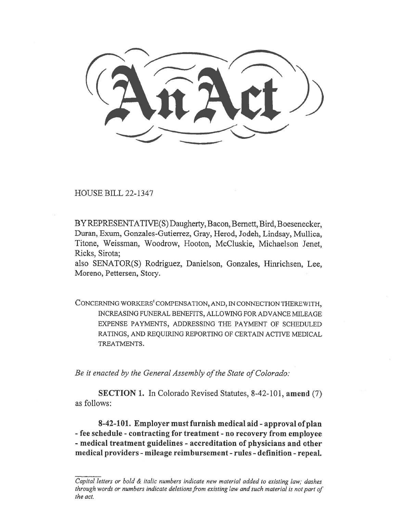HOUSE BILL 22-1347

BY REPRESENTATIVE(S) Daugherty, Bacon, Bernett, Bird, Boesenecker, Duran, Exum, Gonzales-Gutierrez, Gray, Herod, Jodeh, Lindsay, Mullica, Titone, Weissman, Woodrow, Hooton, McCluskie, Michaelson Jenet, Ricks, Sirota;

also SENATOR(S) Rodriguez, Danielson, Gonzales, Hinrichsen, Lee, Moreno, Pettersen, Story.

CONCERNING WORKERS' COMPENSATION, AND, IN CONNECTION THEREWITH, INCREASING FUNERAL BENEFITS, ALLOWING FOR ADVANCE MILEAGE EXPENSE PAYMENTS, ADDRESSING THE PAYMENT OF SCHEDULED RATINGS, AND REQUIRING REPORTING OF CERTAIN ACTIVE MEDICAL TREATMENTS.

Be it enacted by the General Assembly of the State of Colorado:

SECTION 1. In Colorado Revised Statutes, 8-42-101, amend (7) as follows:

8-42-101. Employer must furnish medical aid - approval of plan - fee schedule - contracting for treatment - no recovery from employee - medical treatment guidelines - accreditation of physicians and other medical providers - mileage reimbursement - rules - definition - repeal.

Capital letters or bold & italic numbers indicate new material added to existing law; dashes through words or numbers indicate deletions from existing law and such material is not part of the act.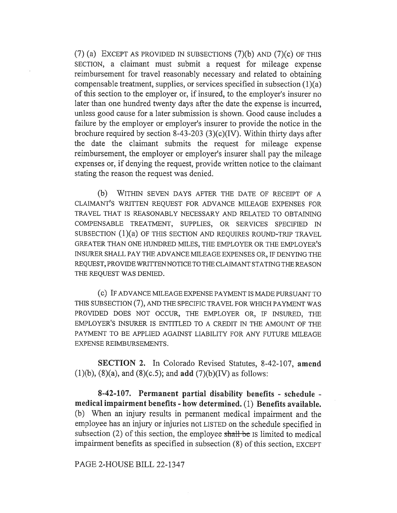(7) (a) EXCEPT AS PROVIDED IN SUBSECTIONS  $(7)(b)$  AND  $(7)(c)$  OF THIS SECTION, a claimant must submit a request for mileage expense reimbursement for travel reasonably necessary and related to obtaining compensable treatment, supplies, or services specified in subsection (1)(a) of this section to the employer or, if insured, to the employer's insurer no later than one hundred twenty days after the date the expense is incurred, unless good cause for a later submission is shown. Good cause includes a failure by the employer or employer's insurer to provide the notice in the brochure required by section 8-43-203 (3)(c)(IV). Within thirty days after the date the claimant submits the request for mileage expense reimbursement, the employer or employer's insurer shall pay the mileage expenses or, if denying the request, provide written notice to the claimant stating the reason the request was denied.

(b) WITHIN SEVEN DAYS AFTER THE DATE OF RECEIPT OF A CLAIMANT'S WRITTEN REQUEST FOR ADVANCE MILEAGE EXPENSES FOR TRAVEL THAT IS REASONABLY NECESSARY AND RELATED TO OBTAINING COMPENSABLE TREATMENT, SUPPLIES, OR SERVICES SPECIFIED IN SUBSECTION (1)(a) OF THIS SECTION AND REQUIRES ROUND-TRIP TRAVEL GREATER THAN ONE HUNDRED MILES, THE EMPLOYER OR THE EMPLOYER'S INSURER SHALL PAY THE ADVANCE MILEAGE EXPENSES OR, IF DENYING THE REQUEST, PROVIDE WRITTEN NOTICE TO THE CLAIMANT STATING THE REASON THE REQUEST WAS DENIED.

(c) IF ADVANCE MILEAGE EXPENSE PAYMENT IS MADE PURSUANT TO THIS SUBSECTION (7), AND THE SPECIFIC TRAVEL FOR WHICH PAYMENT WAS PROVIDED DOES NOT OCCUR, THE EMPLOYER OR, IF INSURED, THE EMPLOYER'S INSURER IS ENTITLED TO A CREDIT IN THE AMOUNT OF THE PAYMENT TO BE APPLIED AGAINST LIABILITY FOR ANY FUTURE MILEAGE EXPENSE REIMBURSEMENTS.

SECTION 2. In Colorado Revised Statutes, 8-42-107, amend (1)(b), (8)(a), and (8)(c.5); and add (7)(b)(IV) as follows:

8-42-107. Permanent partial disability benefits - schedule medical impairment benefits - how determined. (1) Benefits available. (b) When an injury results in permanent medical impairment and the employee has an injury or injuries not LISTED on the schedule specified in subsection  $(2)$  of this section, the employee shall be Is limited to medical impairment benefits as specified in subsection (8) of this section, EXCEPT

PAGE 2-HOUSE BILL 22-1347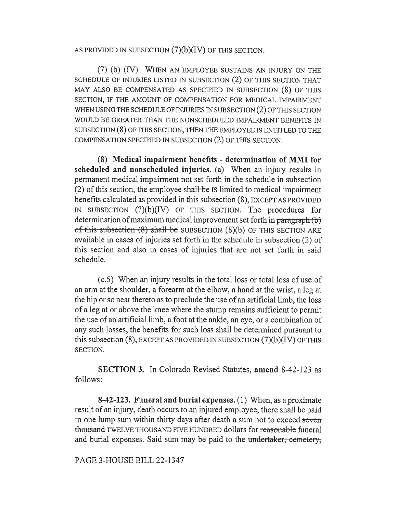## AS PROVIDED IN SUBSECTION  $(7)(b)(IV)$  OF THIS SECTION.

(7) (b) (IV) WHEN AN EMPLOYEE SUSTAINS AN INJURY ON THE SCHEDULE OF INJURIES LISTED IN SUBSECTION (2) OF THIS SECTION THAT MAY ALSO BE COMPENSATED AS SPECIFIED IN SUBSECTION (8) OF THIS SECTION, IF THE AMOUNT OF COMPENSATION FOR MEDICAL IMPAIRMENT WHEN USING THE SCHEDULE OF INJURIES IN SUBSECTION (2) OF THIS SECTION WOULD BE GREATER THAN THE NONSCHEDULED IMPAIRMENT BENEFITS IN SUBSECTION (8) OF THIS SECTION, THEN THE EMPLOYEE IS ENTITLED TO THE COMPENSATION SPECIFIED IN SUBSECTION (2) OF THIS SECTION.

(8) Medical impairment benefits - determination of MMI for scheduled and nonscheduled injuries. (a) When an injury results in permanent medical impairment not set forth in the schedule in subsection (2) of this section, the employee shall be IS limited to medical impairment benefits calculated as provided in this subsection (8), EXCEPT AS PROVIDED IN SUBSECTION (7)(b)(IV) OF THIS SECTION. The procedures for determination of maximum medical improvement set forth in paragraph  $(b)$ of this subsection (8) shall be SUBSECTION (8)(b) OF THIS SECTION ARE available in cases of injuries set forth in the schedule in subsection (2) of this section and also in cases of injuries that are not set forth in said schedule.

(c.5) When an injury results in the total loss or total loss of use of an arm at the shoulder, a forearm at the elbow, a hand at the wrist, a leg at the hip or so near thereto as to preclude the use of an artificial limb, the loss of a leg at or above the knee where the stump remains sufficient to permit the use of an artificial limb, a foot at the ankle, an eye, or a combination of any such losses, the benefits for such loss shall be determined pursuant to this subsection (8), EXCEPT AS PROVIDED IN SUBSECTION (7)(b)(IV) OF THIS SECTION.

SECTION 3. In Colorado Revised Statutes, amend 8-42-123 as follows:

8-42-123. Funeral and burial expenses. (1) When, as a proximate result of an injury, death occurs to an injured employee, there shall be paid in one lump sum within thirty days after death a sum not to exceed seven thousand TWELVE THOUSAND FIVE HUNDRED dollars for reasonable funeral and burial expenses. Said sum may be paid to the undertaker, cemetery,

PAGE 3-HOUSE BILL 22-1347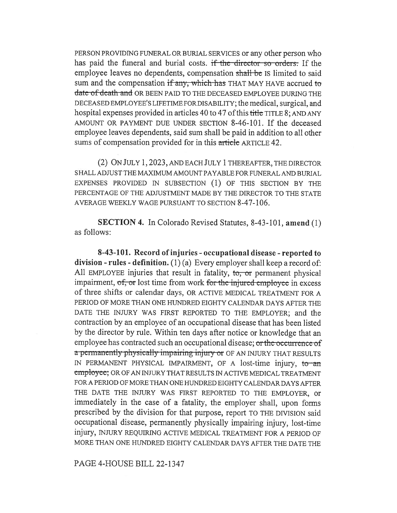PERSON PROVIDING FUNERAL OR BURIAL SERVICES or any other person who has paid the funeral and burial costs. if the director so orders. If the employee leaves no dependents, compensation shall be IS limited to said sum and the compensation if any, which has THAT MAY HAVE accrued to date of death and OR BEEN PAID TO THE DECEASED EMPLOYEE DURING THE DECEASED EMPLOYEE'S LIFETIME FOR DISABILITY; the medical, surgical, and hospital expenses provided in articles 40 to 47 of this title TITLE 8; AND ANY AMOUNT OR PAYMENT DUE UNDER SECTION 8-46-101. If the deceased employee leaves dependents, said sum shall be paid in addition to all other sums of compensation provided for in this article ARTICLE 42.

(2) ON JULY 1, 2023, AND EACH JULY 1 THEREAFTER, THE DIRECTOR SHALL ADJUST THE MAXIMUM AMOUNT PAYABLE FOR FUNERAL AND BURIAL EXPENSES PROVIDED IN SUBSECTION (1) OF THIS SECTION BY THE PERCENTAGE OF THE ADJUSTMENT MADE BY THE DIRECTOR TO THE STATE AVERAGE WEEKLY WAGE PURSUANT TO SECTION 8-47-106.

SECTION 4. In Colorado Revised Statutes, 8-43-101, amend (1) as follows:

8-43-101. Record of injuries - occupational disease - reported to division - rules - definition.  $(1)(a)$  Every employer shall keep a record of: All EMPLOYEE injuries that result in fatality,  $\tau_0$ , or permanent physical impairment,  $of$ , or lost time from work for the injured-employee in excess of three shifts or calendar days, OR ACTIVE MEDICAL TREATMENT FOR A PERIOD OF MORE THAN ONE HUNDRED EIGHTY CALENDAR DAYS AFTER THE DATE THE INJURY WAS FIRST REPORTED TO THE EMPLOYER; and the contraction by an employee of an occupational disease that has been listed by the director by rule. Within ten days after notice or knowledge that an employee has contracted such an occupational disease; or the occurrence of a permanently physically impairing injury or OF AN INJURY THAT RESULTS IN PERMANENT PHYSICAL IMPAIRMENT, OF A lost-time injury, to an employee; OR OF AN INJURY THAT RESULTS IN ACTIVE MEDICAL TREATMENT FOR A PERIOD OF MORE THAN ONE HUNDRED EIGHTY CALENDAR DAYS AFTER THE DATE THE INJURY WAS FIRST REPORTED TO THE EMPLOYER, or immediately in the case of a fatality, the employer shall, upon forms prescribed by the division for that purpose, report TO THE DIVISION said occupational disease, permanently physically impairing injury, lost-time injury, INJURY REQUIRING ACTIVE MEDICAL TREATMENT FOR A PERIOD OF MORE THAN ONE HUNDRED EIGHTY CALENDAR DAYS AFTER THE DATE THE

PAGE 4-HOUSE BILL 22-1347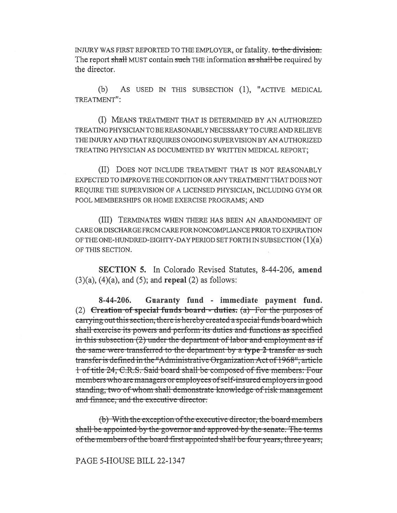INJURY WAS FIRST REPORTED TO THE EMPLOYER, or fatality. to the division. The report shall MUST contain such THE information as shall be required by the director.

(b) AS USED IN THIS SUBSECTION (1), "ACTIVE MEDICAL TREATMENT":

(I) MEANS TREATMENT THAT IS DETERMINED BY AN AUTHORIZED TREATING PHYSICIAN TO BE REASONABLY NECESSARY TO CURE AND RELIEVE THE INJURY AND THAT REQUIRES ONGOING SUPERVISION BY AN AUTHORIZED TREATING PHYSICIAN AS DOCUMENTED BY WRITTEN MEDICAL REPORT;

(II) DOES NOT INCLUDE TREATMENT THAT IS NOT REASONABLY EXPECTED TO IMPROVE THE CONDITION OR ANY TREATMENT THAT DOES NOT REQUIRE THE SUPERVISION OF A LICENSED PHYSICIAN, INCLUDING GYM OR POOL MEMBERSHIPS OR HOME EXERCISE PROGRAMS; AND

(III) TERMINATES WHEN THERE HAS BEEN AN ABANDONMENT OF CARE OR DISCHARGE FROM CARE FOR NONCOMPLIANCE PRIOR TO EXPIRATION OF THE ONE-HUNDRED-EIGHTY-DAY PERIOD SET FORTH IN SUBSECTION  $(1)(a)$ OF THIS SECTION.

SECTION 5. In Colorado Revised Statutes, 8-44-206, amend  $(3)(a)$ ,  $(4)(a)$ , and  $(5)$ ; and repeal  $(2)$  as follows:

8-44-206. Guaranty fund - immediate payment fund. (2) Creation of special funds board --duties:  $(a)$  For the purposes of carrying out this section, there is hereby created a special funds board which shall-exercise-its-powers-and-perform-its-duties-and-functions-as-specifiedthe same were transferred to the department by a type 2 transfer as such in this subsection  $(2)$  under the department of labor and employment as if transfer is defined in the "Administrative Organization Act of 1968", article 1 of title 24, C.R.S. Said board shall be composed of five members: Four members who are managers or employees of self-insured employers in good standing, two of whom shall demonstrate knowledge of risk-management and finance, and the executive director.

 $(b)$  With the exception of the executive director, the board members shall be appointed-by the-governor and approved by the senate. The terms of the members of the board first appointed shall be four years, three years,

PAGE 5-HOUSE BILL 22-1347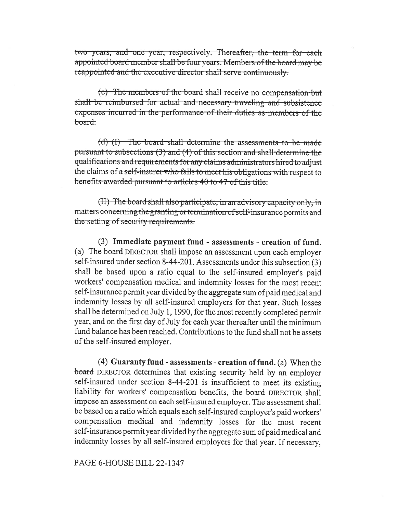two years, and one year, respectively. Thereafter, the term for each appointed board member shall be four years. Members of the board may be reappointed and the executive director shall serve continuously.

(c) The members of the board shall receive no compensation but shall be reimbursed for actual and necessary traveling and subsistence expenses incurred in the performance of their duties as members of the <del>hoard.</del>

 $(d)$  (I) The board shall determine the assessments to be made pursuant to subsections (3) and (4) of this section and shall-determine the qualifications and requirements for any claims administrators hired to adjust the claims of a self-insurer who fails to meet his obligations with respect to benefits awarded pursuant to articles 40 to 47 of this title.

 $(H)$  The board shall also participate, in an advisory capacity only, in matters concerning the granting or termination of self-insurance permits and the setting of security requirements.

(3) Immediate payment fund - assessments - creation of fund. (a) The board DIRECTOR shall impose an assessment upon each employer self-insured under section 8-44-201. Assessments under this subsection (3) shall be based upon a ratio equal to the self-insured employer's paid workers' compensation medical and indemnity losses for the most recent self-insurance permit year divided by the aggregate sum of paid medical and indemnity losses by all self-insured employers for that year. Such losses shall be determined on July 1, 1990, for the most recently completed permit year, and on the first day of July for each year thereafter until the minimum fund balance has been reached. Contributions to the fund shall not be assets of the self-insured employer.

 $(4)$  Guaranty fund - assessments - creation of fund. (a) When the board DIRECTOR determines that existing security held by an employer self-insured under section 8-44-201 is insufficient to meet its existing liability for workers' compensation benefits, the board DIRECTOR shall impose an assessment on each self-insured employer. The assessment shall be based on a ratio which equals each self-insured employer's paid workers' compensation medical and indemnity losses for the most recent self-insurance permit year divided by the aggregate sum of paid medical and indemnity losses by all self-insured employers for that year. If necessary,

## PAGE 6-HOUSE BILL 22-1347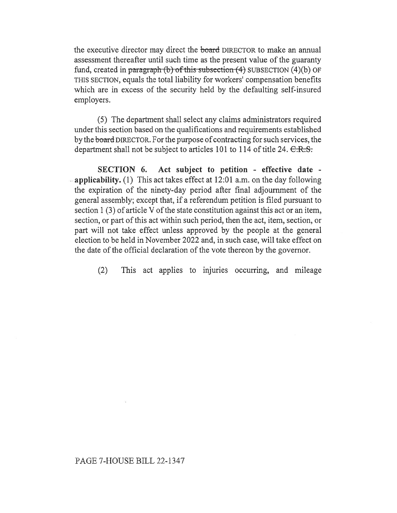the executive director may direct the board DIRECTOR to make an annual assessment thereafter until such time as the present value of the guaranty fund, created in paragraph (b) of this subsection  $(4)$  SUBSECTION  $(4)(b)$  OF THIS SECTION, equals the total liability for workers' compensation benefits which are in excess of the security held by the defaulting self-insured employers.

(5) The department shall select any claims administrators required under this section based on the qualifications and requirements established by the board DIRECTOR. For the purpose of contracting for such services, the department shall not be subject to articles 101 to 114 of title 24.  $C.R.S.$ 

SECTION 6. Act subject to petition - effective date -  $\approx$  applicability. (1) This act takes effect at 12:01 a.m. on the day following the expiration of the ninety-day period after final adjournment of the general assembly; except that, if a referendum petition is filed pursuant to section 1 (3) of article V of the state constitution against this act or an item, section, or part of this act within such period, then the act, item, section, or part will not take effect unless approved by the people at the general election to be held in November 2022 and, in such case, will take effect on the date of the official declaration of the vote thereon by the governor.

(2) This act applies to injuries occurring, and mileage

## PAGE 7-HOUSE BILL 22-1347